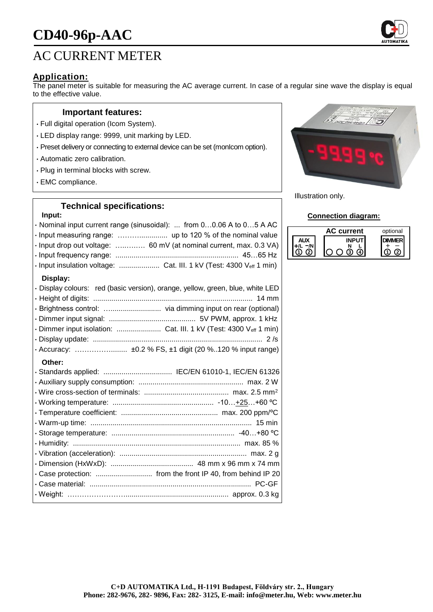# **CD40-96p-AAC**



# **Application:**

The panel meter is suitable for measuring the AC average current. In case of a regular sine wave the display is equal to the effective value.

#### **Important features:**

- Full digital operation (Icom System).
- LED display range: 9999, unit marking by LED.
- Preset delivery or connecting to external device can be set (monIcom option).
- Automatic zero calibration.
- Plug in terminal blocks with screw.
- EMC compliance.

### **Technical specifications:**

#### **Input:**

| · Nominal input current range (sinusoidal):  from 00.06 A to 05 A AC<br>· Input drop out voltage:  60 mV (at nominal current, max. 0.3 VA)<br>· Input insulation voltage:  Cat. III. 1 kV (Test: 4300 Veff 1 min) |
|-------------------------------------------------------------------------------------------------------------------------------------------------------------------------------------------------------------------|
| Display:<br>· Display colours: red (basic version), orange, yellow, green, blue, white LED                                                                                                                        |
|                                                                                                                                                                                                                   |
| · Dimmer input isolation:  Cat. III. 1 kV (Test: 4300 Veff 1 min)                                                                                                                                                 |
| · Accuracy:  ±0.2 % FS, ±1 digit (20 %120 % input range)<br>Other:                                                                                                                                                |
| · Standards applied:  IEC/EN 61010-1, IEC/EN 61326                                                                                                                                                                |
|                                                                                                                                                                                                                   |
|                                                                                                                                                                                                                   |
|                                                                                                                                                                                                                   |
|                                                                                                                                                                                                                   |
|                                                                                                                                                                                                                   |
|                                                                                                                                                                                                                   |
|                                                                                                                                                                                                                   |
|                                                                                                                                                                                                                   |
|                                                                                                                                                                                                                   |
|                                                                                                                                                                                                                   |
|                                                                                                                                                                                                                   |
|                                                                                                                                                                                                                   |



Illustration only.

#### **Connection diagram:**

| current | optional |
|---------|----------|
|         |          |